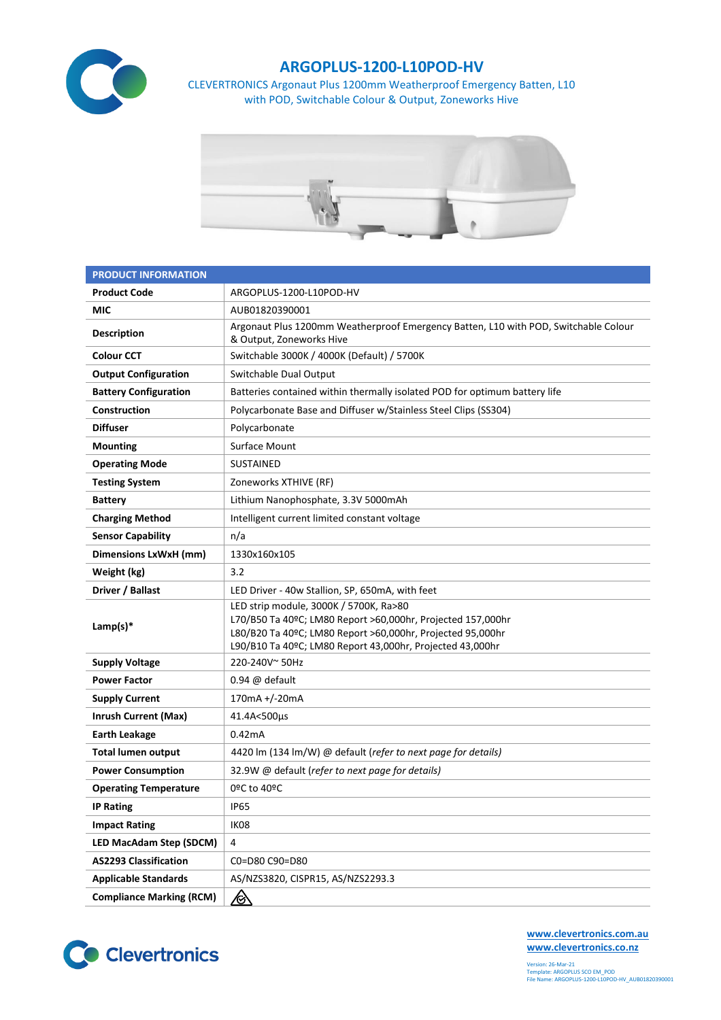

## **ARGOPLUS-1200-L10POD-HV**

CLEVERTRONICS Argonaut Plus 1200mm Weatherproof Emergency Batten, L10 with POD, Switchable Colour & Output, Zoneworks Hive



| <b>PRODUCT INFORMATION</b>      |                                                                                                                                                                                                                                  |  |  |  |
|---------------------------------|----------------------------------------------------------------------------------------------------------------------------------------------------------------------------------------------------------------------------------|--|--|--|
| <b>Product Code</b>             | ARGOPLUS-1200-L10POD-HV                                                                                                                                                                                                          |  |  |  |
| MIC                             | AUB01820390001                                                                                                                                                                                                                   |  |  |  |
| <b>Description</b>              | Argonaut Plus 1200mm Weatherproof Emergency Batten, L10 with POD, Switchable Colour<br>& Output, Zoneworks Hive                                                                                                                  |  |  |  |
| <b>Colour CCT</b>               | Switchable 3000K / 4000K (Default) / 5700K                                                                                                                                                                                       |  |  |  |
| <b>Output Configuration</b>     | Switchable Dual Output                                                                                                                                                                                                           |  |  |  |
| <b>Battery Configuration</b>    | Batteries contained within thermally isolated POD for optimum battery life                                                                                                                                                       |  |  |  |
| Construction                    | Polycarbonate Base and Diffuser w/Stainless Steel Clips (SS304)                                                                                                                                                                  |  |  |  |
| <b>Diffuser</b>                 | Polycarbonate                                                                                                                                                                                                                    |  |  |  |
| <b>Mounting</b>                 | Surface Mount                                                                                                                                                                                                                    |  |  |  |
| <b>Operating Mode</b>           | <b>SUSTAINED</b>                                                                                                                                                                                                                 |  |  |  |
| <b>Testing System</b>           | Zoneworks XTHIVE (RF)                                                                                                                                                                                                            |  |  |  |
| <b>Battery</b>                  | Lithium Nanophosphate, 3.3V 5000mAh                                                                                                                                                                                              |  |  |  |
| <b>Charging Method</b>          | Intelligent current limited constant voltage                                                                                                                                                                                     |  |  |  |
| <b>Sensor Capability</b>        | n/a                                                                                                                                                                                                                              |  |  |  |
| Dimensions LxWxH (mm)           | 1330x160x105                                                                                                                                                                                                                     |  |  |  |
| Weight (kg)                     | 3.2                                                                                                                                                                                                                              |  |  |  |
| Driver / Ballast                | LED Driver - 40w Stallion, SP, 650mA, with feet                                                                                                                                                                                  |  |  |  |
| Lamp(s) $*$                     | LED strip module, 3000K / 5700K, Ra>80<br>L70/B50 Ta 40ºC; LM80 Report >60,000hr, Projected 157,000hr<br>L80/B20 Ta 40ºC; LM80 Report >60,000hr, Projected 95,000hr<br>L90/B10 Ta 40ºC; LM80 Report 43,000hr, Projected 43,000hr |  |  |  |
| <b>Supply Voltage</b>           | 220-240V~50Hz                                                                                                                                                                                                                    |  |  |  |
| <b>Power Factor</b>             | $0.94 \omega$ default                                                                                                                                                                                                            |  |  |  |
| <b>Supply Current</b>           | 170mA +/-20mA                                                                                                                                                                                                                    |  |  |  |
| <b>Inrush Current (Max)</b>     | 41.4A<500µs                                                                                                                                                                                                                      |  |  |  |
| <b>Earth Leakage</b>            | 0.42mA                                                                                                                                                                                                                           |  |  |  |
| <b>Total lumen output</b>       | 4420 lm (134 lm/W) @ default (refer to next page for details)                                                                                                                                                                    |  |  |  |
| <b>Power Consumption</b>        | 32.9W @ default (refer to next page for details)                                                                                                                                                                                 |  |  |  |
| <b>Operating Temperature</b>    | 0ºC to 40ºC                                                                                                                                                                                                                      |  |  |  |
| <b>IP Rating</b>                | <b>IP65</b>                                                                                                                                                                                                                      |  |  |  |
| <b>Impact Rating</b>            | IK08                                                                                                                                                                                                                             |  |  |  |
| <b>LED MacAdam Step (SDCM)</b>  | 4                                                                                                                                                                                                                                |  |  |  |
| <b>AS2293 Classification</b>    | C0=D80 C90=D80                                                                                                                                                                                                                   |  |  |  |
| <b>Applicable Standards</b>     | AS/NZS3820, CISPR15, AS/NZS2293.3                                                                                                                                                                                                |  |  |  |
| <b>Compliance Marking (RCM)</b> | <u>/&amp;</u>                                                                                                                                                                                                                    |  |  |  |



**[www.clevertronics.com.au](http://www.clevertronics.com.au/) www.clevertronics.co.nz**

Version: 26-Mar-21 Template: ARGOPLUS SCO EM\_POD File Name: ARGOPLUS-1200-L10POD-HV\_AUB01820390001